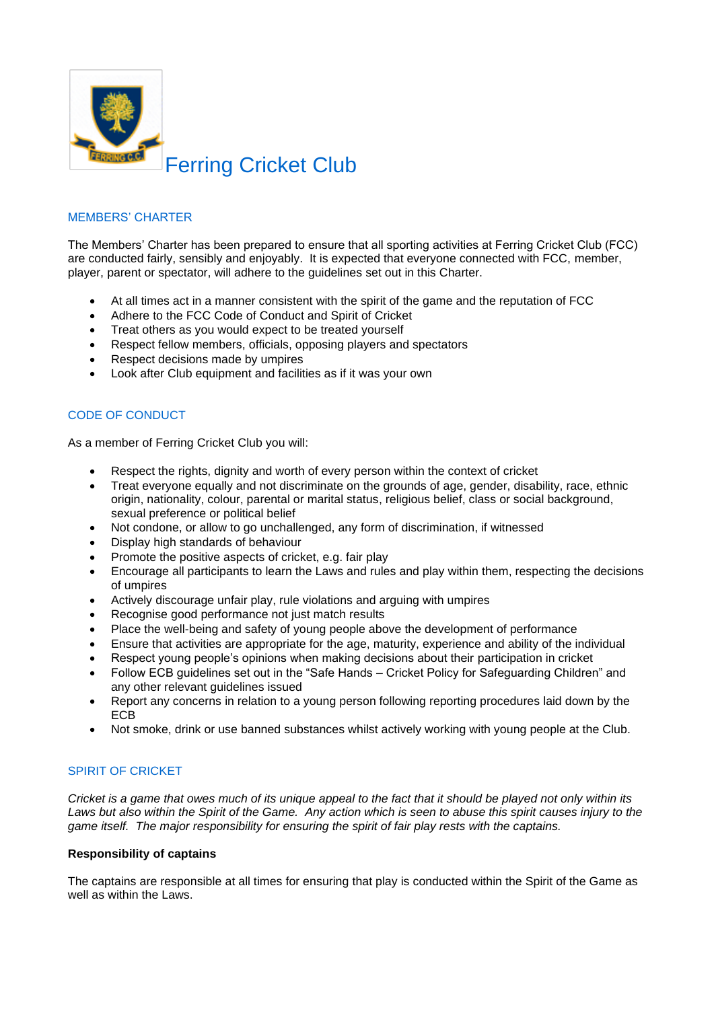

# MEMBERS' CHARTER

The Members' Charter has been prepared to ensure that all sporting activities at Ferring Cricket Club (FCC) are conducted fairly, sensibly and enjoyably. It is expected that everyone connected with FCC, member, player, parent or spectator, will adhere to the guidelines set out in this Charter.

- At all times act in a manner consistent with the spirit of the game and the reputation of FCC
- Adhere to the FCC Code of Conduct and Spirit of Cricket
- Treat others as you would expect to be treated yourself
- Respect fellow members, officials, opposing players and spectators
- Respect decisions made by umpires
- Look after Club equipment and facilities as if it was your own

# CODE OF CONDUCT

As a member of Ferring Cricket Club you will:

- Respect the rights, dignity and worth of every person within the context of cricket
- Treat everyone equally and not discriminate on the grounds of age, gender, disability, race, ethnic origin, nationality, colour, parental or marital status, religious belief, class or social background, sexual preference or political belief
- Not condone, or allow to go unchallenged, any form of discrimination, if witnessed
- Display high standards of behaviour
- Promote the positive aspects of cricket, e.g. fair play
- Encourage all participants to learn the Laws and rules and play within them, respecting the decisions of umpires
- Actively discourage unfair play, rule violations and arguing with umpires
- Recognise good performance not just match results
- Place the well-being and safety of young people above the development of performance
- Ensure that activities are appropriate for the age, maturity, experience and ability of the individual
- Respect young people's opinions when making decisions about their participation in cricket
- Follow ECB guidelines set out in the "Safe Hands Cricket Policy for Safeguarding Children" and any other relevant guidelines issued
- Report any concerns in relation to a young person following reporting procedures laid down by the ECB
- Not smoke, drink or use banned substances whilst actively working with young people at the Club.

# SPIRIT OF CRICKET

*Cricket is a game that owes much of its unique appeal to the fact that it should be played not only within its Laws but also within the Spirit of the Game. Any action which is seen to abuse this spirit causes injury to the game itself. The major responsibility for ensuring the spirit of fair play rests with the captains.*

#### **Responsibility of captains**

The captains are responsible at all times for ensuring that play is conducted within the Spirit of the Game as well as within the Laws.